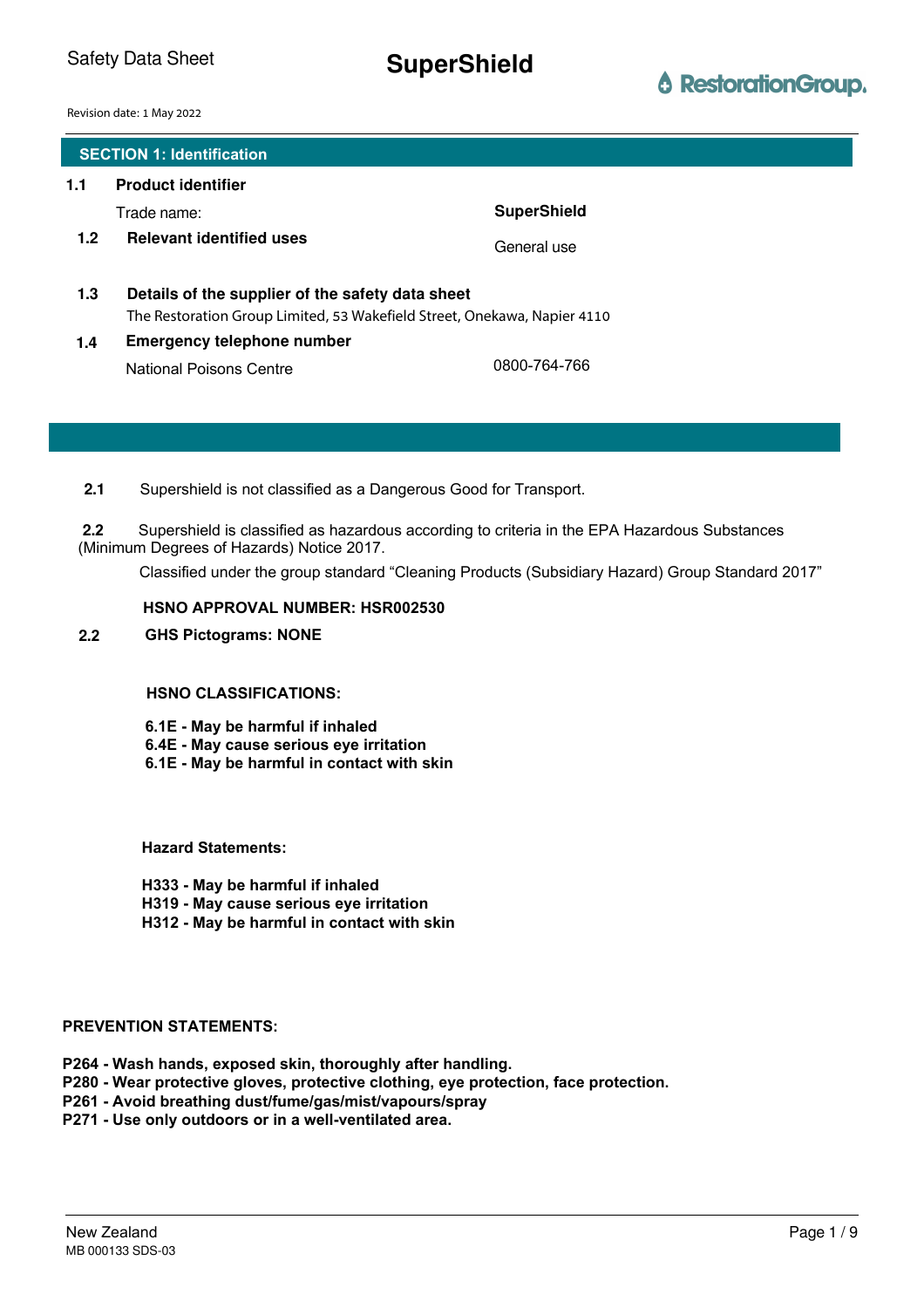Safety Data Sheet **SuperShield** 

# **ô** RestorationGroup.

Revision date: 1 May 2022

|                  | <b>SECTION 1: Identification</b>                                                                                             |                    |
|------------------|------------------------------------------------------------------------------------------------------------------------------|--------------------|
| 1.1              | <b>Product identifier</b>                                                                                                    |                    |
|                  | Trade name:                                                                                                                  | <b>SuperShield</b> |
| 1.2 <sub>2</sub> | <b>Relevant identified uses</b>                                                                                              | General use        |
| 1.3              | Details of the supplier of the safety data sheet<br>The Restoration Group Limited, 53 Wakefield Street, Onekawa, Napier 4110 |                    |
| 1.4              | <b>Emergency telephone number</b>                                                                                            |                    |
|                  | <b>National Poisons Centre</b>                                                                                               | 0800-764-766       |

**2.1** Supershield is not classified as a Dangerous Good for Transport.

Supershield is classified as hazardous according to criteria in the EPA Hazardous Substances (Minimum Degrees of Hazards) Notice 2017. **2.2**

Classified under the group standard "Cleaning Products (Subsidiary Hazard) Group Standard 2017"

#### **HSNO APPROVAL NUMBER: HSR002530**

#### **2.2 GHS Pictograms: NONE**

#### **HSNO CLASSIFICATIONS:**

- **6.1E May be harmful if inhaled**
- **6.4E May cause serious eye irritation**
- **6.1E May be harmful in contact with skin**

**Hazard Statements:**

- **H333 May be harmful if inhaled**
- **H319 May cause serious eye irritation**
- **H312 May be harmful in contact with skin**

#### **PREVENTION STATEMENTS:**

- **P264 Wash hands, exposed skin, thoroughly after handling.**
- **P280 Wear protective gloves, protective clothing, eye protection, face protection.**
- **P261 Avoid breathing dust/fume/gas/mist/vapours/spray**
- **P271 Use only outdoors or in a well-ventilated area.**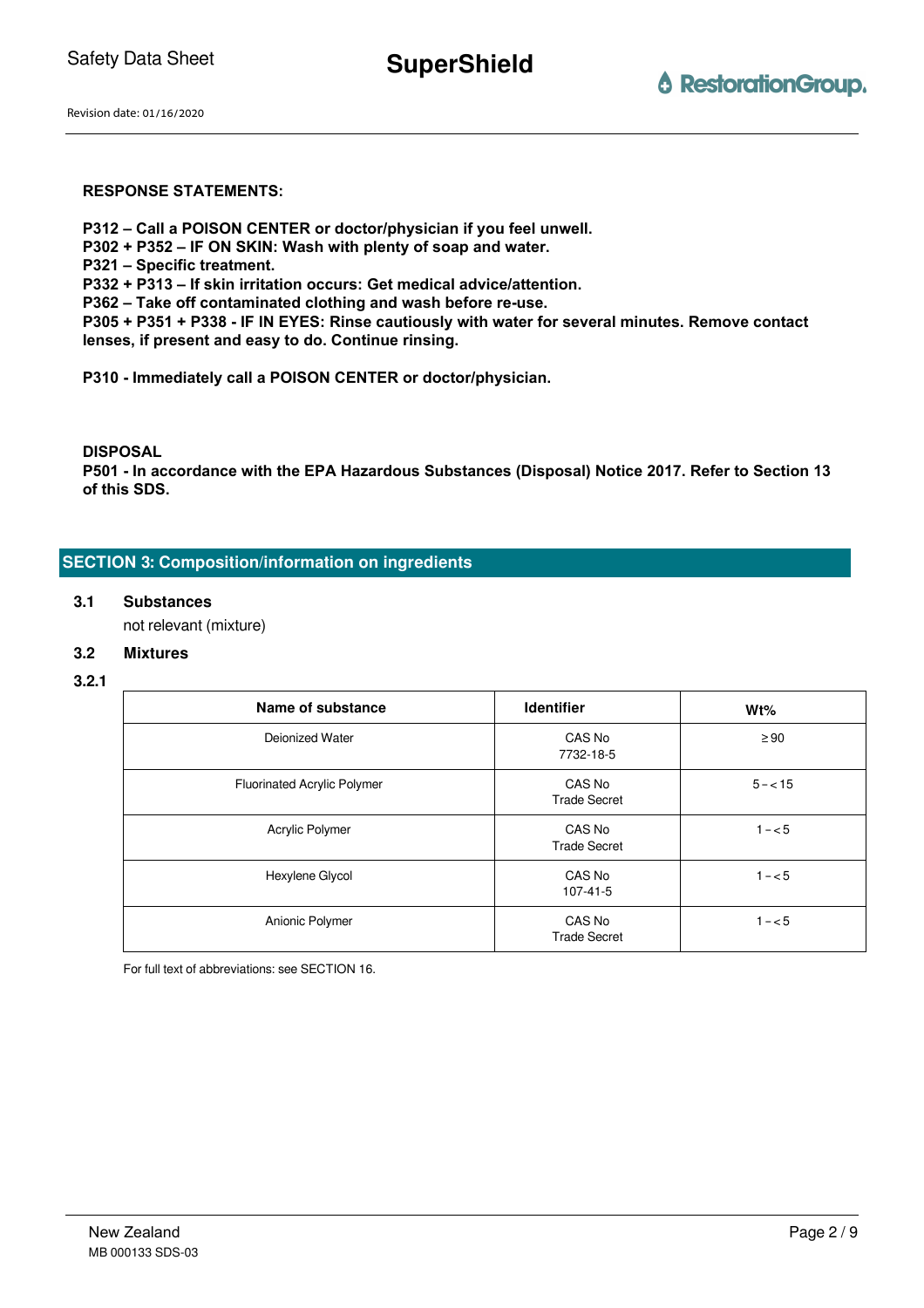**SuperShield**

Revision date: 01/16/2020

### **RESPONSE STATEMENTS:**

- **P312 Call a POISON CENTER or doctor/physician if you feel unwell.**
- **P302 + P352 IF ON SKIN: Wash with plenty of soap and water.**
- **P321 Specific treatment.**
- **P332 + P313 If skin irritation occurs: Get medical advice/attention.**
- **P362 Take off contaminated clothing and wash before re-use.**
- **P305 + P351 + P338 IF IN EYES: Rinse cautiously with water for several minutes. Remove contact lenses, if present and easy to do. Continue rinsing.**
- **P310 Immediately call a POISON CENTER or doctor/physician.**

**DISPOSAL**

**P501 - In accordance with the EPA Hazardous Substances (Disposal) Notice 2017. Refer to Section 13 of this SDS.**

# **SECTION 3: Composition/information on ingredients**

#### **3.1 Substances**

not relevant (mixture)

# **3.2 Mixtures**

#### **3.2.1**

| Name of substance                  | <b>Identifier</b>             | $Wt\%$     |
|------------------------------------|-------------------------------|------------|
| Deionized Water                    | CAS No<br>7732-18-5           | $\geq 90$  |
| <b>Fluorinated Acrylic Polymer</b> | CAS No<br><b>Trade Secret</b> | $5 - < 15$ |
| Acrylic Polymer                    | CAS No<br><b>Trade Secret</b> | $1 - 5$    |
| Hexylene Glycol                    | CAS No<br>107-41-5            | $1 - 5$    |
| Anionic Polymer                    | CAS No<br><b>Trade Secret</b> | $1 - 5$    |

For full text of abbreviations: see SECTION 16.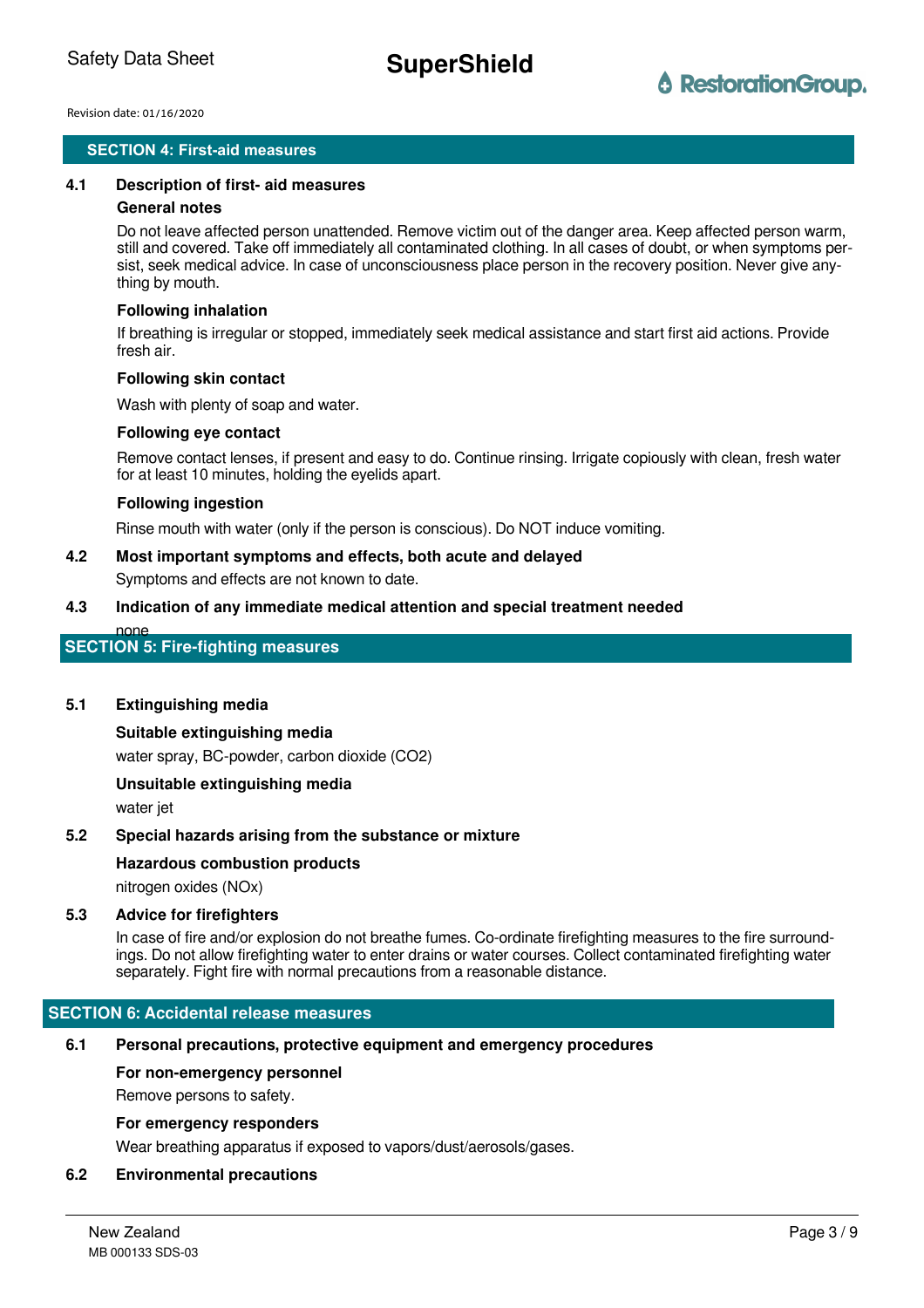# **SECTION 4: First-aid measures SECTION 4: First-aid measures**

#### **4.1 Description of first- aid measures**

#### **General notes**

Do not leave affected person unattended. Remove victim out of the danger area. Keep affected person warm, still and covered. Take off immediately all contaminated clothing. In all cases of doubt, or when symptoms persist, seek medical advice. In case of unconsciousness place person in the recovery position. Never give anything by mouth.

#### **Following inhalation**

If breathing is irregular or stopped, immediately seek medical assistance and start first aid actions. Provide fresh air.

#### **Following skin contact**

Wash with plenty of soap and water.

#### **Following eye contact**

Remove contact lenses, if present and easy to do. Continue rinsing. Irrigate copiously with clean, fresh water for at least 10 minutes, holding the eyelids apart.

#### **Following ingestion**

Rinse mouth with water (only if the person is conscious). Do NOT induce vomiting.

# **4.2 Most important symptoms and effects, both acute and delayed**

Symptoms and effects are not known to date.

#### **4.3 Indication of any immediate medical attention and special treatment needed**

none

# **SECTION 5: Fire-fighting measures**

#### **5.1 Extinguishing media**

# **Suitable extinguishing media**

water spray, BC-powder, carbon dioxide (CO2)

**Unsuitable extinguishing media**

water jet

#### **5.2 Special hazards arising from the substance or mixture**

#### **Hazardous combustion products**

nitrogen oxides (NOx)

#### **5.3 Advice for firefighters**

In case of fire and/or explosion do not breathe fumes. Co-ordinate firefighting measures to the fire surroundings. Do not allow firefighting water to enter drains or water courses. Collect contaminated firefighting water separately. Fight fire with normal precautions from a reasonable distance.

#### **SECTION 6: Accidental release measures**

#### **6.1 Personal precautions, protective equipment and emergency procedures**

#### **For non-emergency personnel**

Remove persons to safety.

#### **For emergency responders**

Wear breathing apparatus if exposed to vapors/dust/aerosols/gases.

### **6.2 Environmental precautions**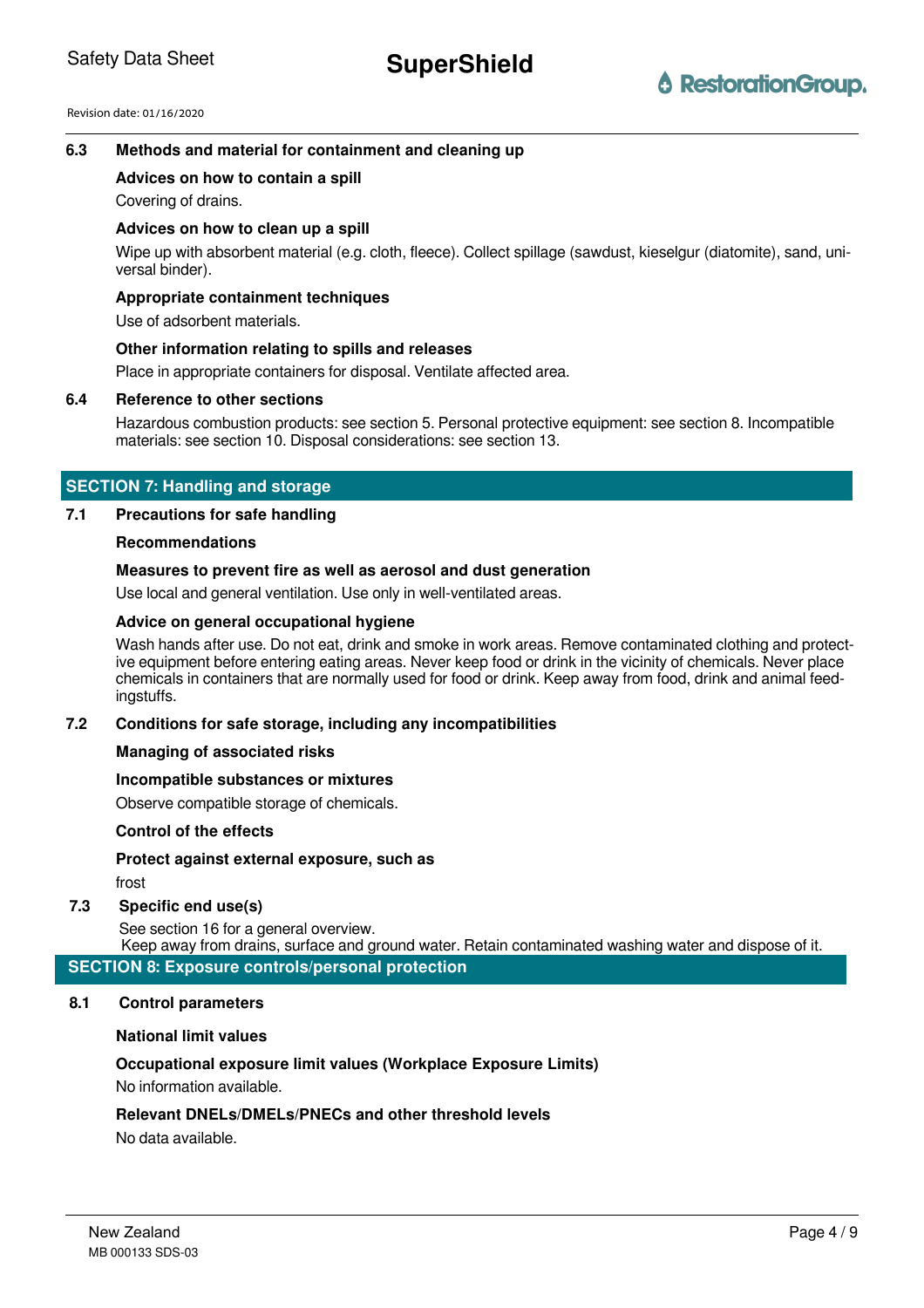# **6.3 Methods and material for containment and cleaning up**

#### **Advices on how to contain a spill**

Covering of drains.

#### **Advices on how to clean up a spill**

Wipe up with absorbent material (e.g. cloth, fleece). Collect spillage (sawdust, kieselgur (diatomite), sand, universal binder).

### **Appropriate containment techniques**

Use of adsorbent materials.

#### **Other information relating to spills and releases**

Place in appropriate containers for disposal. Ventilate affected area.

#### **6.4 Reference to other sections**

Hazardous combustion products: see section 5. Personal protective equipment: see section 8. Incompatible materials: see section 10. Disposal considerations: see section 13.

# **SECTION 7: Handling and storage**

#### **7.1 Precautions for safe handling**

#### **Recommendations**

# **Measures to prevent fire as well as aerosol and dust generation**

Use local and general ventilation. Use only in well-ventilated areas.

### **Advice on general occupational hygiene**

Wash hands after use. Do not eat, drink and smoke in work areas. Remove contaminated clothing and protective equipment before entering eating areas. Never keep food or drink in the vicinity of chemicals. Never place chemicals in containers that are normally used for food or drink. Keep away from food, drink and animal feedingstuffs.

#### **7.2 Conditions for safe storage, including any incompatibilities**

#### **Managing of associated risks**

#### **Incompatible substances or mixtures**

Observe compatible storage of chemicals.

#### **Control of the effects**

**Protect against external exposure, such as**

frost

# **7.3 Specific end use(s)**

See section 16 for a general overview.

Keep away from drains, surface and ground water. Retain contaminated washing water and dispose of it.

**SECTION 8: Exposure controls/personal protection**

#### **8.1 Control parameters**

#### **National limit values**

# **Occupational exposure limit values (Workplace Exposure Limits)**

No information available.

# **Relevant DNELs/DMELs/PNECs and other threshold levels**

No data available.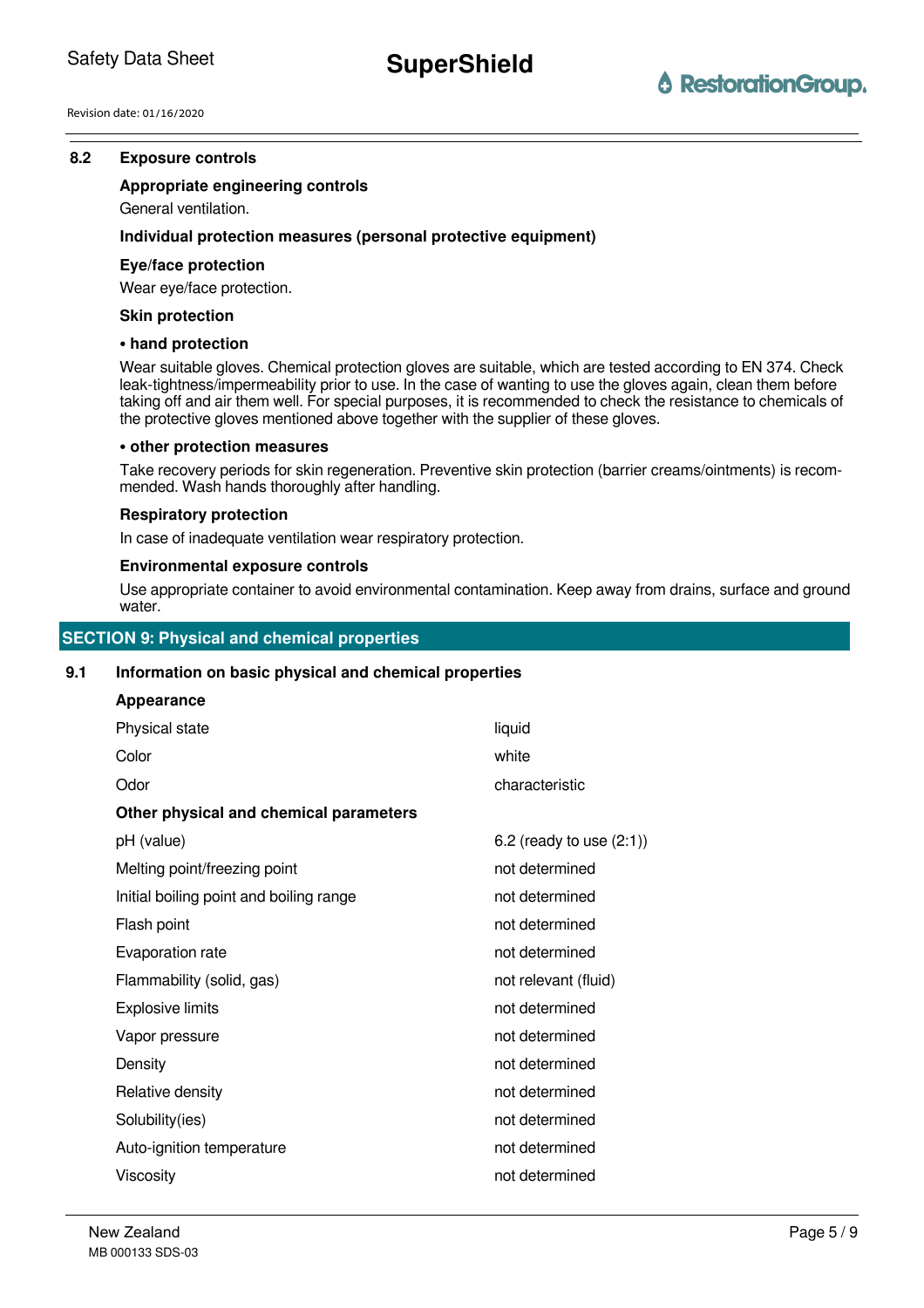# **8.2 Exposure controlss**

# **Appropriate engineering controls**

General ventilation.

# **Individual protection measures (personal protective equipment)**

#### **Eye/face protection**

Wear eye/face protection.

#### **Skin protection**

#### **• hand protection**

Wear suitable gloves. Chemical protection gloves are suitable, which are tested according to EN 374. Check leak-tightness/impermeability prior to use. In the case of wanting to use the gloves again, clean them before taking off and air them well. For special purposes, it is recommended to check the resistance to chemicals of the protective gloves mentioned above together with the supplier of these gloves.

#### **• other protection measures**

Take recovery periods for skin regeneration. Preventive skin protection (barrier creams/ointments) is recommended. Wash hands thoroughly after handling.

#### **Respiratory protection**

In case of inadequate ventilation wear respiratory protection.

#### **Environmental exposure controls**

Use appropriate container to avoid environmental contamination. Keep away from drains, surface and ground water.

# **SECTION 9: Physical and chemical properties**

# **9.1 Information on basic physical and chemical properties**

| liquid                        |
|-------------------------------|
| white                         |
| characteristic                |
|                               |
| $6.2$ (ready to use $(2:1)$ ) |
| not determined                |
| not determined                |
| not determined                |
| not determined                |
| not relevant (fluid)          |
| not determined                |
| not determined                |
| not determined                |
| not determined                |
| not determined                |
| not determined                |
| not determined                |
|                               |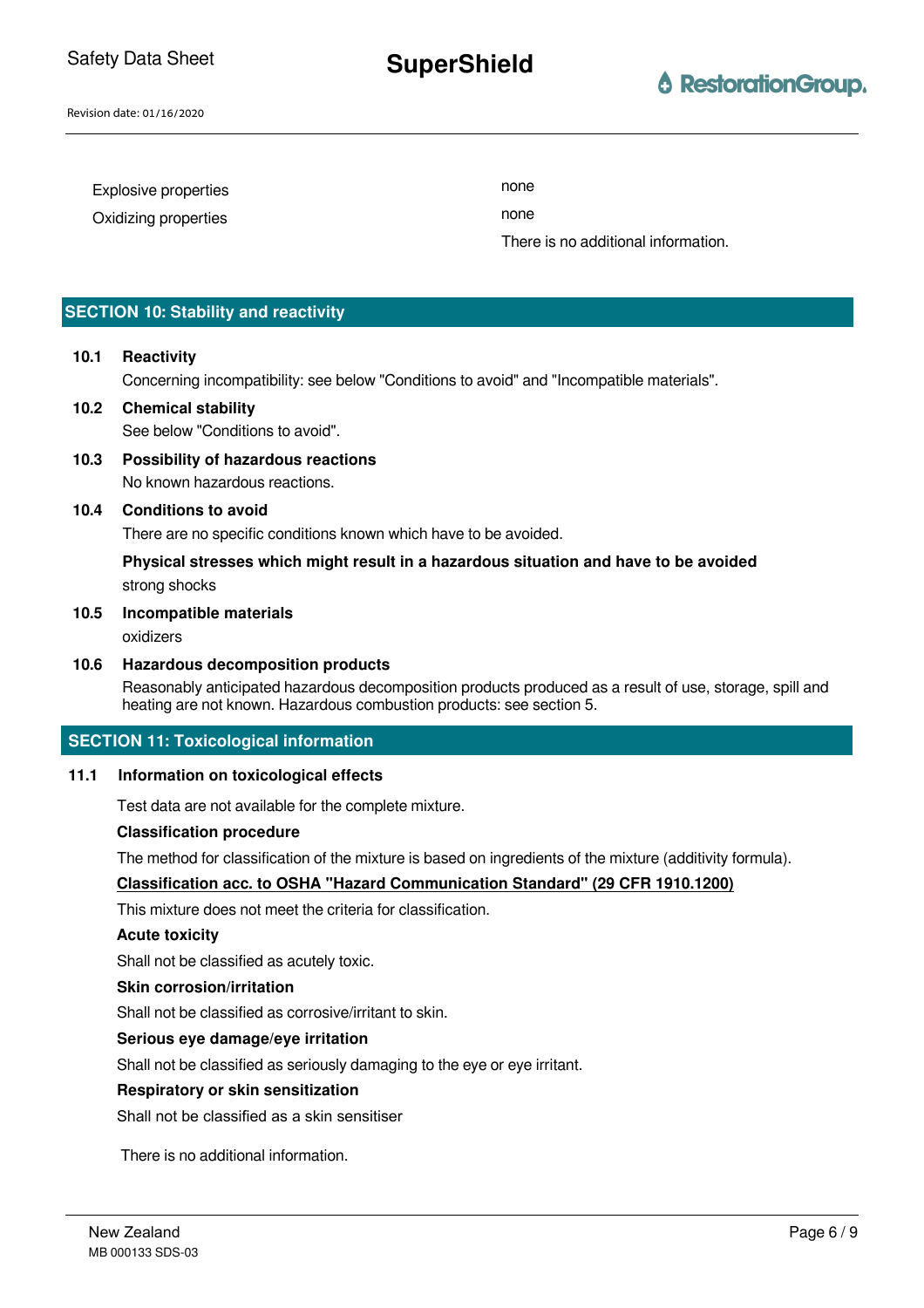# **SuperShield**

# *<u>A RestorationGroup.</u>*

Revision date: 01/16/2020

| Explosive properties | none                                |
|----------------------|-------------------------------------|
| Oxidizing properties | none                                |
|                      | There is no additional information. |

### **SECTION 10: Stability and reactivity**

# **10.1 Reactivity**

Concerning incompatibility: see below "Conditions to avoid" and "Incompatible materials".

# **10.2 Chemical stability**

See below "Conditions to avoid".

**10.3 Possibility of hazardous reactions** No known hazardous reactions.

#### **10.4 Conditions to avoid**

There are no specific conditions known which have to be avoided.

# **Physical stresses which might result in a hazardous situation and have to be avoided** strong shocks

#### **10.5 Incompatible materials**

oxidizers

#### **10.6 Hazardous decomposition products**

Reasonably anticipated hazardous decomposition products produced as a result of use, storage, spill and heating are not known. Hazardous combustion products: see section 5.

#### **SECTION 11: Toxicological information**

#### **11.1 Information on toxicological effects**

Test data are not available for the complete mixture.

#### **Classification procedure**

The method for classification of the mixture is based on ingredients of the mixture (additivity formula).

#### **Classification acc. to OSHA "Hazard Communication Standard" (29 CFR 1910.1200)**

This mixture does not meet the criteria for classification.

#### **Acute toxicity**

Shall not be classified as acutely toxic.

#### **Skin corrosion/irritation**

Shall not be classified as corrosive/irritant to skin.

#### **Serious eye damage/eye irritation**

Shall not be classified as seriously damaging to the eye or eye irritant.

#### **Respiratory or skin sensitization**

Shall not be classified as a skin sensitiser

There is no additional information.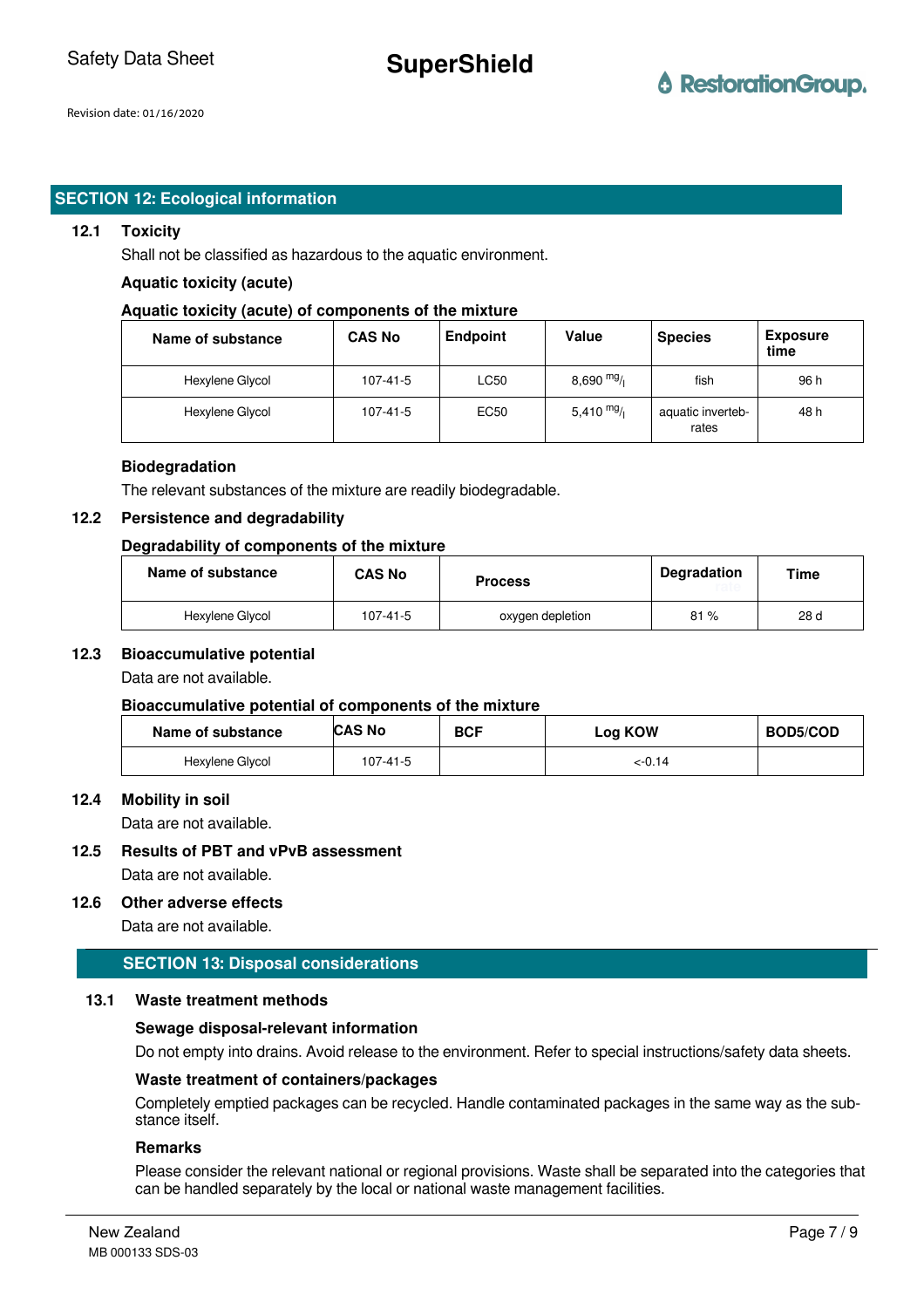**SuperShield**

# **SECTION 12: Ecological information**

#### **12.1 Toxicity**

Shall not be classified as hazardous to the aquatic environment.

#### **Aquatic toxicity (acute)**

#### **Aquatic toxicity (acute) of components of the mixture**

| Name of substance | <b>CAS No</b> | <b>Endpoint</b> | Value       | <b>Species</b>             | <b>Exposure</b><br>time |
|-------------------|---------------|-----------------|-------------|----------------------------|-------------------------|
| Hexylene Glycol   | 107-41-5      | <b>LC50</b>     | $8,690$ mg/ | fish                       | 96 h                    |
| Hexylene Glycol   | 107-41-5      | <b>EC50</b>     | 5,410 $mg/$ | aquatic inverteb-<br>rates | 48 h                    |

#### **Biodegradation**

The relevant substances of the mixture are readily biodegradable.

#### **12.2 Persistence and degradability**

#### **Degradability of components of the mixture**

| Name of substance | <b>CAS No</b> | <b>Process</b>   | <b>Degradation</b> | Time |
|-------------------|---------------|------------------|--------------------|------|
| Hexylene Glycol   | 107-41-5      | oxygen depletion | 81%                | 28 d |

#### **12.3 Bioaccumulative potential**

Data are not available.

#### **Bioaccumulative potential of components of the mixture**

| Name of substance | <b>CAS No</b> | <b>BCF</b> | Log KOW | <b>BOD5/COD</b> |
|-------------------|---------------|------------|---------|-----------------|
| Hexylene Glycol   | 107-41-5      |            | <-0.14  |                 |

#### **12.4 Mobility in soil**

Data are not available.

**12.5 Results of PBT and vPvB assessment**

Data are not available.

### **12.6 Other adverse effects**

Data are not available.

# **SECTION 13: Disposal considerations**

#### **13.1 Waste treatment methods**

#### **Sewage disposal-relevant information**

Do not empty into drains. Avoid release to the environment. Refer to special instructions/safety data sheets.

### **Waste treatment of containers/packages**

Completely emptied packages can be recycled. Handle contaminated packages in the same way as the substance itself.

### **Remarks**

Please consider the relevant national or regional provisions. Waste shall be separated into the categories that can be handled separately by the local or national waste management facilities.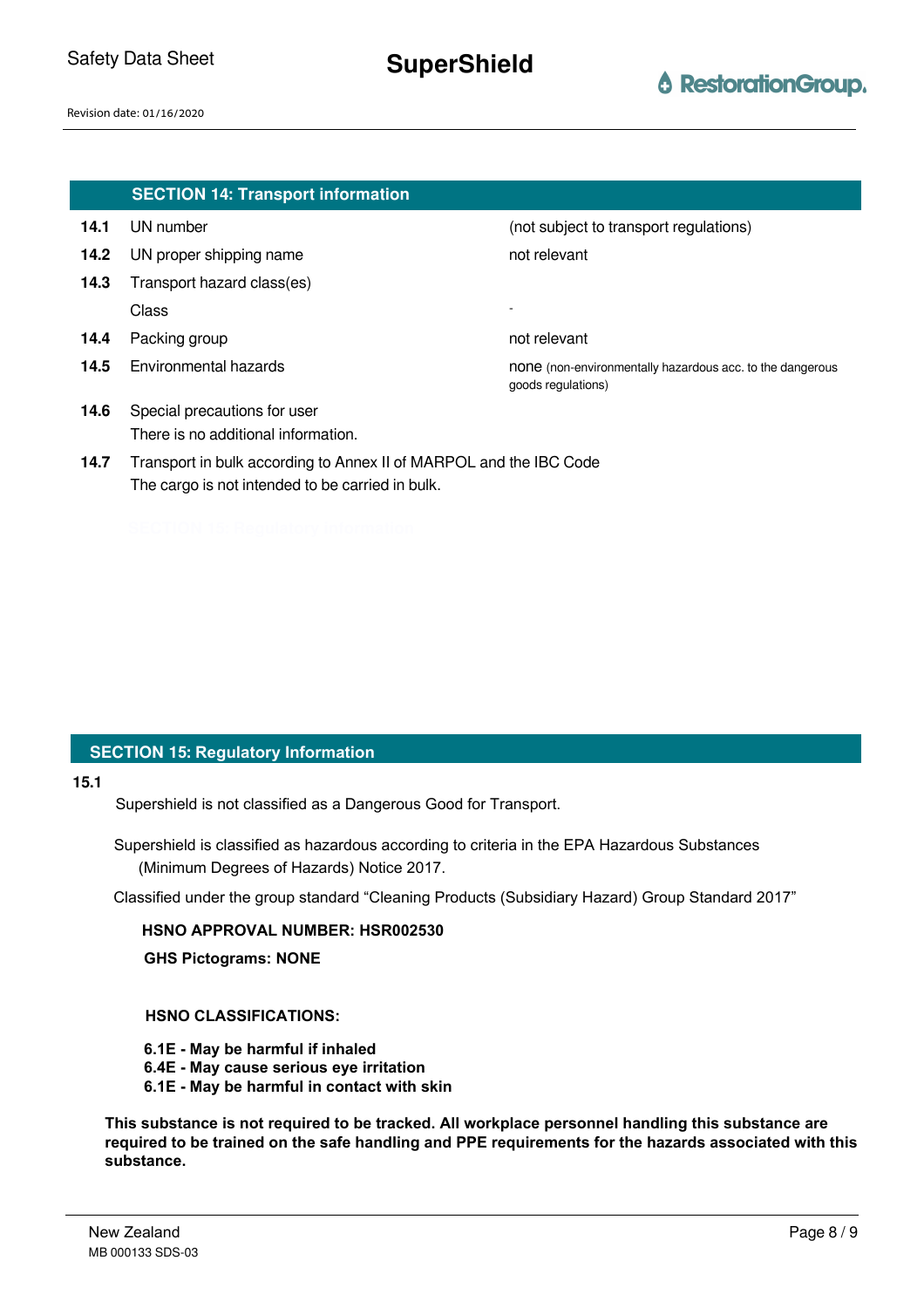|      | <b>SECTION 14: Transport information</b>                           |                                                                                 |
|------|--------------------------------------------------------------------|---------------------------------------------------------------------------------|
| 14.1 | UN number                                                          | (not subject to transport regulations)                                          |
| 14.2 | UN proper shipping name                                            | not relevant                                                                    |
| 14.3 | Transport hazard class(es)                                         |                                                                                 |
|      | Class                                                              |                                                                                 |
| 14.4 | Packing group                                                      | not relevant                                                                    |
| 14.5 | Environmental hazards                                              | none (non-environmentally hazardous acc. to the dangerous<br>goods regulations) |
| 14.6 | Special precautions for user                                       |                                                                                 |
|      | There is no additional information.                                |                                                                                 |
| 14.7 | Transport in bulk according to Annex II of MARPOL and the IBC Code |                                                                                 |
|      | The cargo is not intended to be carried in bulk.                   |                                                                                 |

# **SECTION 15: Regulatory Information**

#### **15.1**

Supershield is not classified as a Dangerous Good for Transport.

Supershield is classified as hazardous according to criteria in the EPA Hazardous Substances (Minimum Degrees of Hazards) Notice 2017.

Classified under the group standard "Cleaning Products (Subsidiary Hazard) Group Standard 2017"

# **HSNO APPROVAL NUMBER: HSR002530**

**GHS Pictograms: NONE**

# **HSNO CLASSIFICATIONS:**

- **6.1E May be harmful if inhaled**
- **6.4E May cause serious eye irritation**
- **6.1E May be harmful in contact with skin**

**This substance is not required to be tracked. All workplace personnel handling this substance are required to be trained on the safe handling and PPE requirements for the hazards associated with this substance.**